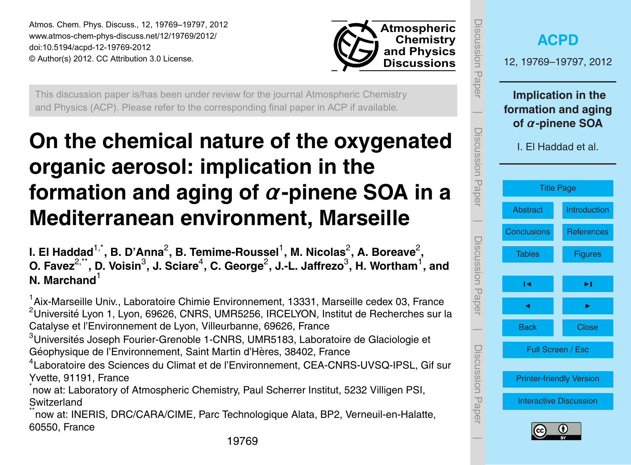<span id="page-0-0"></span>Atmos. Chem. Phys. Discuss., 12, 19769–19797, 2012 www.atmos-chem-phys-discuss.net/12/19769/2012/ doi:10.5194/acpd-12-19769-2012 © Author(s) 2012. CC Attribution 3.0 License.



This discussion paper is/has been under review for the journal Atmospheric Chemistry and Physics (ACP). Please refer to the corresponding final paper in ACP if available.

# **On the chemical nature of the oxygenated organic aerosol: implication in the formation and aging of** *α***-pinene SOA in a Mediterranean environment, Marseille**

l. El Haddad<sup>1,\*</sup>, B. D'Anna<sup>2</sup>, B. Temime-Roussel<sup>1</sup>, M. Nicolas<sup>2</sup>, A. Boreave<sup>2</sup>, **O. Favez**2,\*\***, D. Voisin**<sup>3</sup> **, J. Sciare**<sup>4</sup> **, C. George**<sup>2</sup> **, J.-L. Jaffrezo**<sup>3</sup> **, H. Wortham**<sup>1</sup> **, and N. Marchand**<sup>1</sup>

<sup>1</sup> Aix-Marseille Univ., Laboratoire Chimie Environnement, 13331, Marseille cedex 03, France <sup>2</sup>Université Lyon 1, Lyon, 69626, CNRS, UMR5256, IRCELYON, Institut de Recherches sur la Catalyse et l'Environnement de Lyon, Villeurbanne, 69626, France  $3$ Universités Joseph Fourier-Grenoble 1-CNRS, UMR5183, Laboratoire de Glaciologie et Géophysique de l'Environnement, Saint Martin d'Hères, 38402, France 4 Laboratoire des Sciences du Climat et de l'Environnement, CEA-CNRS-UVSQ-IPSL, Gif sur Yvette, 91191, France \* now at: Laboratory of Atmospheric Chemistry, Paul Scherrer Institut, 5232 Villigen PSI, **Switzerland** now at: INERIS, DRC/CARA/CIME, Parc Technologique Alata, BP2, Verneuil-en-Halatte, 60550, France

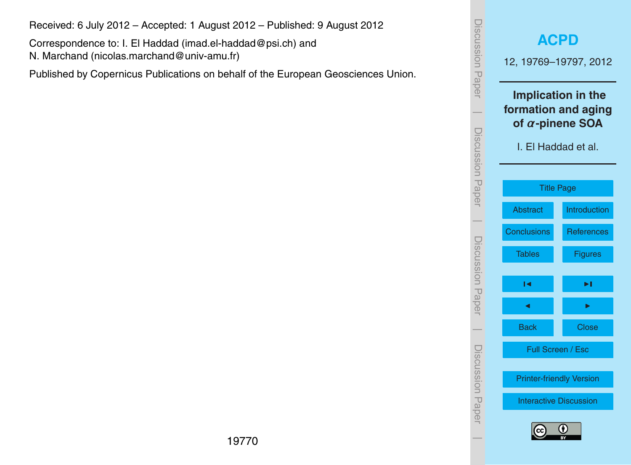Received: 6 July 2012 – Accepted: 1 August 2012 – Published: 9 August 2012

Correspondence to: I. El Haddad (imad.el-haddad@psi.ch) and N. Marchand (nicolas.marchand@univ-amu.fr)

Published by Copernicus Publications on behalf of the European Geosciences Union.

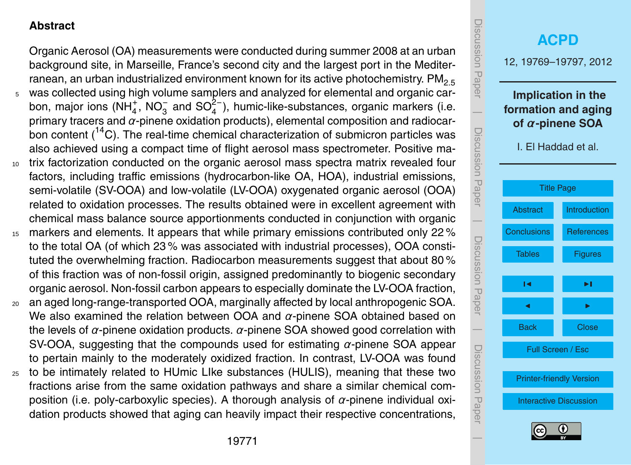#### <span id="page-2-0"></span>**Abstract**

Organic Aerosol (OA) measurements were conducted during summer 2008 at an urban background site, in Marseille, France's second city and the largest port in the Mediterranean, an urban industrialized environment known for its active photochemistry.  $PM_{2.5}$ <sup>5</sup> was collected using high volume samplers and analyzed for elemental and organic carbon, major ions (NH<sub>4</sub>, NO<sub>3</sub> and SO<sub>4</sub><sup>2</sup>), humic-like-substances, organic markers (i.e. primary tracers and *α*-pinene oxidation products), elemental composition and radiocarbon content  $(14)$ . The real-time chemical characterization of submicron particles was also achieved using a compact time of flight aerosol mass spectrometer. Positive ma-

- <sup>10</sup> trix factorization conducted on the organic aerosol mass spectra matrix revealed four factors, including traffic emissions (hydrocarbon-like OA, HOA), industrial emissions, semi-volatile (SV-OOA) and low-volatile (LV-OOA) oxygenated organic aerosol (OOA) related to oxidation processes. The results obtained were in excellent agreement with chemical mass balance source apportionments conducted in conjunction with organic
- <sup>15</sup> markers and elements. It appears that while primary emissions contributed only 22% to the total OA (of which 23 % was associated with industrial processes), OOA constituted the overwhelming fraction. Radiocarbon measurements suggest that about 80 % of this fraction was of non-fossil origin, assigned predominantly to biogenic secondary organic aerosol. Non-fossil carbon appears to especially dominate the LV-OOA fraction,
- <sup>20</sup> an aged long-range-transported OOA, marginally affected by local anthropogenic SOA. We also examined the relation between OOA and *α*-pinene SOA obtained based on the levels of *α*-pinene oxidation products. *α*-pinene SOA showed good correlation with SV-OOA, suggesting that the compounds used for estimating *α*-pinene SOA appear to pertain mainly to the moderately oxidized fraction. In contrast, LV-OOA was found
- <sup>25</sup> to be intimately related to HUmic LIke substances (HULIS), meaning that these two fractions arise from the same oxidation pathways and share a similar chemical composition (i.e. poly-carboxylic species). A thorough analysis of *α*-pinene individual oxidation products showed that aging can heavily impact their respective concentrations,



 $\overline{\phantom{a}}$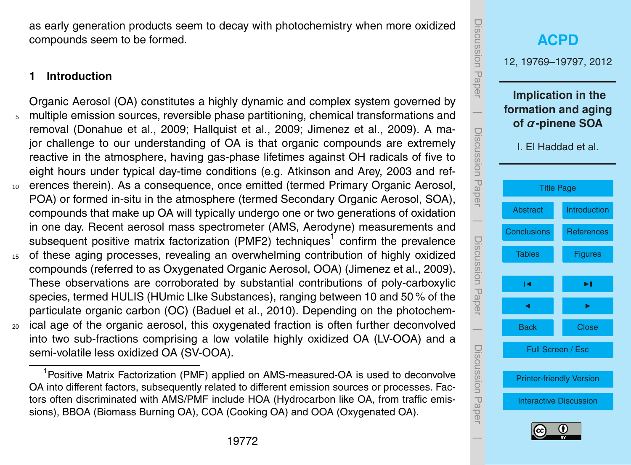as early generation products seem to decay with photochemistry when more oxidized compounds seem to be formed.

## **1 Introduction**

- Organic Aerosol (OA) constitutes a highly dynamic and complex system governed by <sup>5</sup> multiple emission sources, reversible phase partitioning, chemical transformations and removal (Donahue et al., 2009; Hallquist et al., 2009; Jimenez et al., 2009). A major challenge to our understanding of OA is that organic compounds are extremely reactive in the atmosphere, having gas-phase lifetimes against OH radicals of five to eight hours under typical day-time conditions (e.g. Atkinson and Arey, 2003 and ref-<sup>10</sup> erences therein). As a consequence, once emitted (termed Primary Organic Aerosol, POA) or formed in-situ in the atmosphere (termed Secondary Organic Aerosol, SOA), compounds that make up OA will typically undergo one or two generations of oxidation in one day. Recent aerosol mass spectrometer (AMS, Aerodyne) measurements and subsequent positive matrix factorization (PMF2) techniques<sup>1</sup> confirm the prevalence <sup>15</sup> of these aging processes, revealing an overwhelming contribution of highly oxidized compounds (referred to as Oxygenated Organic Aerosol, OOA) (Jimenez et al., 2009). These observations are corroborated by substantial contributions of poly-carboxylic species, termed HULIS (HUmic LIke Substances), ranging between 10 and 50 % of the particulate organic carbon (OC) (Baduel et al., 2010). Depending on the photochem-
- <sup>20</sup> ical age of the organic aerosol, this oxygenated fraction is often further deconvolved into two sub-fractions comprising a low volatile highly oxidized OA (LV-OOA) and a semi-volatile less oxidized OA (SV-OOA).

<span id="page-3-0"></span><sup>1</sup>Positive Matrix Factorization (PMF) applied on AMS-measured-OA is used to deconvolve OA into different factors, subsequently related to different emission sources or processes. Factors often discriminated with AMS/PMF include HOA (Hydrocarbon like OA, from traffic emissions), BBOA (Biomass Burning OA), COA (Cooking OA) and OOA (Oxygenated OA).

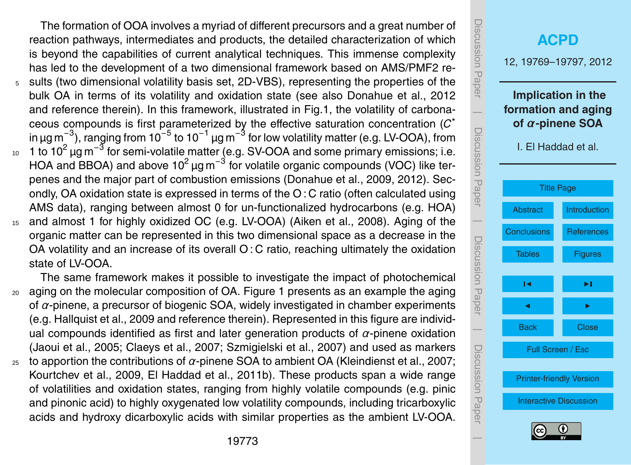The formation of OOA involves a myriad of different precursors and a great number of reaction pathways, intermediates and products, the detailed characterization of which is beyond the capabilities of current analytical techniques. This immense complexity has led to the development of a two dimensional framework based on AMS/PMF2 re-<sup>5</sup> sults (two dimensional volatility basis set, 2D-VBS), representing the properties of the bulk OA in terms of its volatility and oxidation state (see also Donahue et al., 2012 and reference therein). In this framework, illustrated in Fig.1, the volatility of carbonaceous compounds is first parameterized by the effective saturation concentration (*C* ∗ in µg m<sup>−3</sup>), ranging from 10<sup>−5</sup> to 10<sup>−1</sup> µg m<sup>−3</sup> for low volatility matter (e.g. LV-OOA), from  $10-1$  to 10<sup>2</sup> μg m<sup>-3</sup> for semi-volatile matter (e.g. SV-OOA and some primary emissions; i.e. HOA and BBOA) and above 10<sup>2</sup> µg m<sup>-3</sup> for volatile organic compounds (VOC) like terpenes and the major part of combustion emissions (Donahue et al., 2009, 2012). Secondly, OA oxidation state is expressed in terms of the O : C ratio (often calculated using AMS data), ranging between almost 0 for un-functionalized hydrocarbons (e.g. HOA) <sup>15</sup> and almost 1 for highly oxidized OC (e.g. LV-OOA) (Aiken et al., 2008). Aging of the organic matter can be represented in this two dimensional space as a decrease in the

OA volatility and an increase of its overall O : C ratio, reaching ultimately the oxidation state of LV-OOA.

The same framework makes it possible to investigate the impact of photochemical <sup>20</sup> aging on the molecular composition of OA. Figure 1 presents as an example the aging of *α*-pinene, a precursor of biogenic SOA, widely investigated in chamber experiments (e.g. Hallquist et al., 2009 and reference therein). Represented in this figure are individual compounds identified as first and later generation products of *α*-pinene oxidation (Jaoui et al., 2005; Claeys et al., 2007; Szmigielski et al., 2007) and used as markers <sup>25</sup> to apportion the contributions of *α*-pinene SOA to ambient OA (Kleindienst et al., 2007; Kourtchev et al., 2009, El Haddad et al., 2011b). These products span a wide range of volatilities and oxidation states, ranging from highly volatile compounds (e.g. pinic and pinonic acid) to highly oxygenated low volatility compounds, including tricarboxylic acids and hydroxy dicarboxylic acids with similar properties as the ambient LV-OOA.

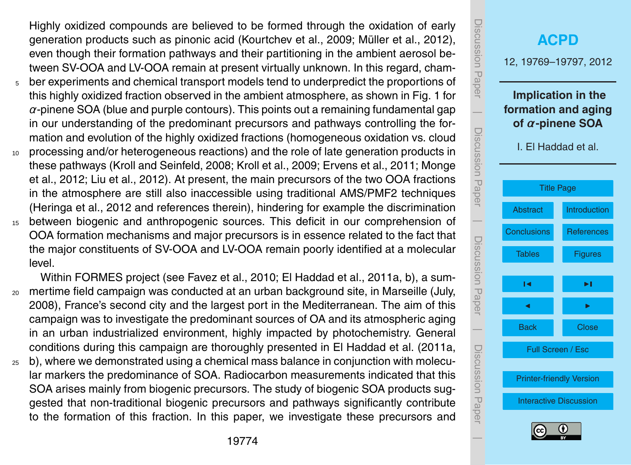Highly oxidized compounds are believed to be formed through the oxidation of early generation products such as pinonic acid (Kourtchev et al., 2009; Müller et al., 2012), even though their formation pathways and their partitioning in the ambient aerosol between SV-OOA and LV-OOA remain at present virtually unknown. In this regard, cham-

- $5<sub>5</sub>$  ber experiments and chemical transport models tend to underpredict the proportions of this highly oxidized fraction observed in the ambient atmosphere, as shown in Fig. 1 for *α*-pinene SOA (blue and purple contours). This points out a remaining fundamental gap in our understanding of the predominant precursors and pathways controlling the formation and evolution of the highly oxidized fractions (homogeneous oxidation vs. cloud
- <sup>10</sup> processing and/or heterogeneous reactions) and the role of late generation products in these pathways (Kroll and Seinfeld, 2008; Kroll et al., 2009; Ervens et al., 2011; Monge et al., 2012; Liu et al., 2012). At present, the main precursors of the two OOA fractions in the atmosphere are still also inaccessible using traditional AMS/PMF2 techniques (Heringa et al., 2012 and references therein), hindering for example the discrimination
- <sup>15</sup> between biogenic and anthropogenic sources. This deficit in our comprehension of OOA formation mechanisms and major precursors is in essence related to the fact that the major constituents of SV-OOA and LV-OOA remain poorly identified at a molecular level.

Within FORMES project (see Favez et al., 2010; El Haddad et al., 2011a, b), a sum-<sup>20</sup> mertime field campaign was conducted at an urban background site, in Marseille (July, 2008), France's second city and the largest port in the Mediterranean. The aim of this campaign was to investigate the predominant sources of OA and its atmospheric aging in an urban industrialized environment, highly impacted by photochemistry. General conditions during this campaign are thoroughly presented in El Haddad et al. (2011a,

 $25$  b), where we demonstrated using a chemical mass balance in conjunction with molecular markers the predominance of SOA. Radiocarbon measurements indicated that this SOA arises mainly from biogenic precursors. The study of biogenic SOA products suggested that non-traditional biogenic precursors and pathways significantly contribute to the formation of this fraction. In this paper, we investigate these precursors and

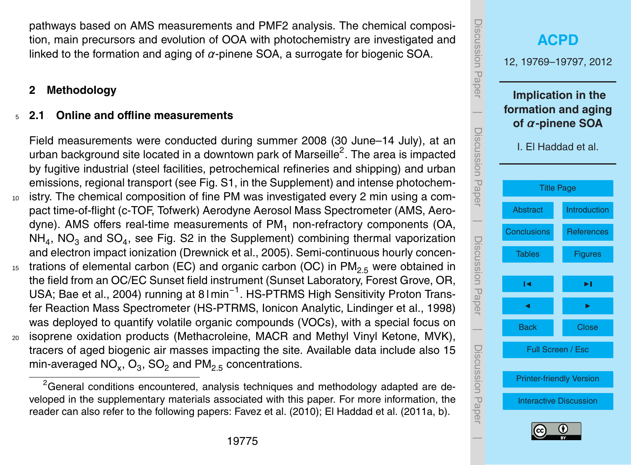pathways based on AMS measurements and PMF2 analysis. The chemical composition, main precursors and evolution of OOA with photochemistry are investigated and linked to the formation and aging of *α*-pinene SOA, a surrogate for biogenic SOA.

#### **2 Methodology**

#### <sup>5</sup> **2.1 Online and offline measurements**

Field measurements were conducted during summer 2008 (30 June–14 July), at an urban background site located in a downtown park of Marseille<sup>2</sup>. The area is impacted by fugitive industrial (steel facilities, petrochemical refineries and shipping) and urban emissions, regional transport (see Fig. S1, in the Supplement) and intense photochem-<sup>10</sup> istry. The chemical composition of fine PM was investigated every 2 min using a compact time-of-flight (c-TOF, Tofwerk) Aerodyne Aerosol Mass Spectrometer (AMS, Aerodyne). AMS offers real-time measurements of PM<sub>1</sub> non-refractory components (OA, NH<sub>4</sub>, NO<sub>3</sub> and SO<sub>4</sub>, see Fig. S2 in the Supplement) combining thermal vaporization and electron impact ionization (Drewnick et al., 2005). Semi-continuous hourly concen-<sup>15</sup> trations of elemental carbon (EC) and organic carbon (OC) in  $PM_{2.5}$  were obtained in the field from an OC/EC Sunset field instrument (Sunset Laboratory, Forest Grove, OR, USA; Bae et al., 2004) running at 8 I min<sup>-1</sup>. HS-PTRMS High Sensitivity Proton Transfer Reaction Mass Spectrometer (HS-PTRMS, Ionicon Analytic, Lindinger et al., 1998) was deployed to quantify volatile organic compounds (VOCs), with a special focus on <sup>20</sup> isoprene oxidation products (Methacroleine, MACR and Methyl Vinyl Ketone, MVK), tracers of aged biogenic air masses impacting the site. Available data include also 15 min-averaged NO<sub>x</sub>, O<sub>3</sub>, SO<sub>2</sub> and PM<sub>2.5</sub> concentrations.

 $2$ General conditions encountered, analysis techniques and methodology adapted are developed in the supplementary materials associated with this paper. For more information, the reader can also refer to the following papers: Favez et al. (2010); El Haddad et al. (2011a, b).

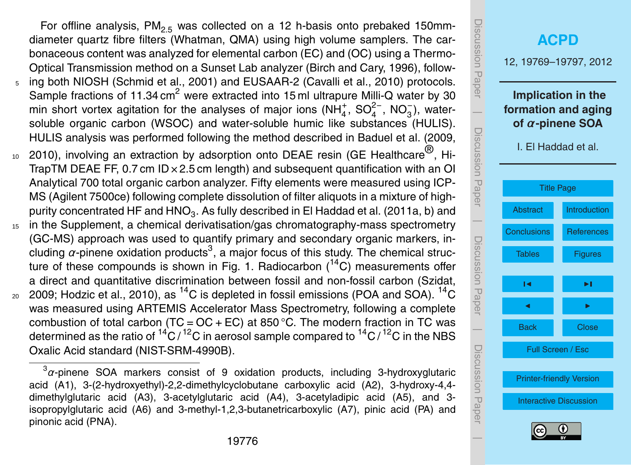For offline analysis,  $PM<sub>2.5</sub>$  was collected on a 12 h-basis onto prebaked 150mmdiameter quartz fibre filters (Whatman, QMA) using high volume samplers. The carbonaceous content was analyzed for elemental carbon (EC) and (OC) using a Thermo-Optical Transmission method on a Sunset Lab analyzer (Birch and Cary, 1996), follow-

- <sup>5</sup> ing both NIOSH (Schmid et al., 2001) and EUSAAR-2 (Cavalli et al., 2010) protocols. Sample fractions of 11.34  $\text{cm}^2$  were extracted into 15 ml ultrapure Milli-Q water by 30 min short vortex agitation for the analyses of major ions (NH<sub>4</sub>, SO<sub>4</sub><sup>-</sup>, NO<sub>3</sub>), watersoluble organic carbon (WSOC) and water-soluble humic like substances (HULIS). HULIS analysis was performed following the method described in Baduel et al. (2009,
- $10-2010$ ), involving an extraction by adsorption onto DEAE resin (GE Healthcare<sup>®</sup>, Hi-TrapTM DEAE FF, 0.7 cm  $ID \times 2.5$  cm length) and subsequent quantification with an OI Analytical 700 total organic carbon analyzer. Fifty elements were measured using ICP-MS (Agilent 7500ce) following complete dissolution of filter aliquots in a mixture of highpurity concentrated HF and HNO $_3$ . As fully described in El Haddad et al. (2011a, b) and
- <sup>15</sup> in the Supplement, a chemical derivatisation/gas chromatography-mass spectrometry (GC-MS) approach was used to quantify primary and secondary organic markers, including  $\alpha$ -pinene oxidation products<sup>3</sup>, a major focus of this study. The chemical structure of these compounds is shown in Fig. 1. Radiocarbon  $(^{14}C)$  measurements offer a direct and quantitative discrimination between fossil and non-fossil carbon (Szidat,  $_{\rm 20}$   $\,$  2009; Hodzic et al., 2010), as  $^{14}\mathrm{C}$  is depleted in fossil emissions (POA and SOA).  $^{14}\mathrm{C}$
- was measured using ARTEMIS Accelerator Mass Spectrometry, following a complete combustion of total carbon (TC =  $OC + EC$ ) at 850 °C. The modern fraction in TC was determined as the ratio of  ${}^{14}C / {}^{12}C$  in aerosol sample compared to  ${}^{14}C / {}^{12}C$  in the NBS Oxalic Acid standard (NIST-SRM-4990B).

<sup>3</sup> *α*-pinene SOA markers consist of 9 oxidation products, including 3-hydroxyglutaric acid (A1), 3-(2-hydroxyethyl)-2,2-dimethylcyclobutane carboxylic acid (A2), 3-hydroxy-4,4 dimethylglutaric acid (A3), 3-acetylglutaric acid (A4), 3-acetyladipic acid (A5), and 3 isopropylglutaric acid (A6) and 3-methyl-1,2,3-butanetricarboxylic (A7), pinic acid (PA) and pinonic acid (PNA).

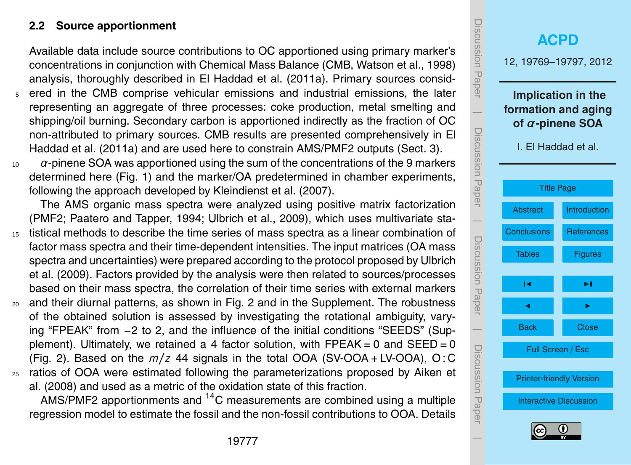#### **2.2 Source apportionment**

Available data include source contributions to OC apportioned using primary marker's concentrations in conjunction with Chemical Mass Balance (CMB, Watson et al., 1998) analysis, thoroughly described in El Haddad et al. (2011a). Primary sources consid-

- <sup>5</sup> ered in the CMB comprise vehicular emissions and industrial emissions, the later representing an aggregate of three processes: coke production, metal smelting and shipping/oil burning. Secondary carbon is apportioned indirectly as the fraction of OC non-attributed to primary sources. CMB results are presented comprehensively in El Haddad et al. (2011a) and are used here to constrain AMS/PMF2 outputs (Sect. 3).
- <sup>10</sup> *α*-pinene SOA was apportioned using the sum of the concentrations of the 9 markers determined here (Fig. 1) and the marker/OA predetermined in chamber experiments, following the approach developed by Kleindienst et al. (2007).

The AMS organic mass spectra were analyzed using positive matrix factorization (PMF2; Paatero and Tapper, 1994; Ulbrich et al., 2009), which uses multivariate sta-

- <sup>15</sup> tistical methods to describe the time series of mass spectra as a linear combination of factor mass spectra and their time-dependent intensities. The input matrices (OA mass spectra and uncertainties) were prepared according to the protocol proposed by Ulbrich et al. (2009). Factors provided by the analysis were then related to sources/processes based on their mass spectra, the correlation of their time series with external markers
- <sup>20</sup> and their diurnal patterns, as shown in Fig. 2 and in the Supplement. The robustness of the obtained solution is assessed by investigating the rotational ambiguity, varying "FPEAK" from −2 to 2, and the influence of the initial conditions "SEEDS" (Supplement). Ultimately, we retained a 4 factor solution, with  $\text{FPEAK} = 0$  and  $\text{SEED} = 0$ (Fig. 2). Based on the  $m/z$  44 signals in the total OOA (SV-OOA + LV-OOA), O:C <sup>25</sup> ratios of OOA were estimated following the parameterizations proposed by Aiken et
	- al. (2008) and used as a metric of the oxidation state of this fraction.

AMS/PMF2 apportionments and  ${}^{14}$ C measurements are combined using a multiple regression model to estimate the fossil and the non-fossil contributions to OOA. Details

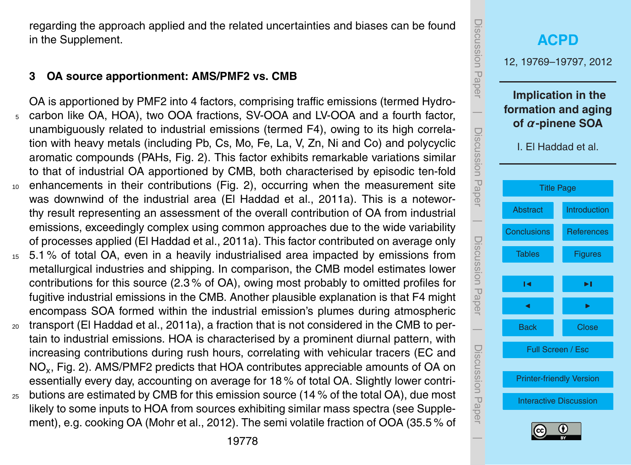regarding the approach applied and the related uncertainties and biases can be found in the Supplement.

#### **3 OA source apportionment: AMS/PMF2 vs. CMB**

OA is apportioned by PMF2 into 4 factors, comprising traffic emissions (termed Hydro-<sup>5</sup> carbon like OA, HOA), two OOA fractions, SV-OOA and LV-OOA and a fourth factor, unambiguously related to industrial emissions (termed F4), owing to its high correlation with heavy metals (including Pb, Cs, Mo, Fe, La, V, Zn, Ni and Co) and polycyclic aromatic compounds (PAHs, Fig. 2). This factor exhibits remarkable variations similar to that of industrial OA apportioned by CMB, both characterised by episodic ten-fold <sup>10</sup> enhancements in their contributions (Fig. 2), occurring when the measurement site was downwind of the industrial area (El Haddad et al., 2011a). This is a noteworthy result representing an assessment of the overall contribution of OA from industrial emissions, exceedingly complex using common approaches due to the wide variability of processes applied (El Haddad et al., 2011a). This factor contributed on average only

- <sup>15</sup> 5.1 % of total OA, even in a heavily industrialised area impacted by emissions from metallurgical industries and shipping. In comparison, the CMB model estimates lower contributions for this source (2.3 % of OA), owing most probably to omitted profiles for fugitive industrial emissions in the CMB. Another plausible explanation is that F4 might encompass SOA formed within the industrial emission's plumes during atmospheric
- <sup>20</sup> transport (El Haddad et al., 2011a), a fraction that is not considered in the CMB to pertain to industrial emissions. HOA is characterised by a prominent diurnal pattern, with increasing contributions during rush hours, correlating with vehicular tracers (EC and  $\mathsf{NO}_\mathsf{x},$  Fig. 2). AMS/PMF2 predicts that HOA contributes appreciable amounts of OA on essentially every day, accounting on average for 18 % of total OA. Slightly lower contri-
- $25$  butions are estimated by CMB for this emission source (14 % of the total OA), due most likely to some inputs to HOA from sources exhibiting similar mass spectra (see Supplement), e.g. cooking OA (Mohr et al., 2012). The semi volatile fraction of OOA (35.5 % of

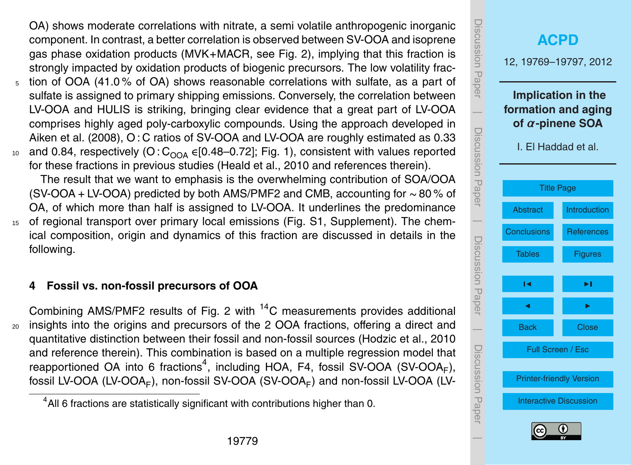OA) shows moderate correlations with nitrate, a semi volatile anthropogenic inorganic component. In contrast, a better correlation is observed between SV-OOA and isoprene gas phase oxidation products (MVK+MACR, see Fig. 2), implying that this fraction is strongly impacted by oxidation products of biogenic precursors. The low volatility frac-

- tion of OOA (41.0% of OA) shows reasonable correlations with sulfate, as a part of sulfate is assigned to primary shipping emissions. Conversely, the correlation between LV-OOA and HULIS is striking, bringing clear evidence that a great part of LV-OOA comprises highly aged poly-carboxylic compounds. Using the approach developed in Aiken et al. (2008), O : C ratios of SV-OOA and LV-OOA are roughly estimated as 0.33 10 and 0.84, respectively (O:  $C_{\Omega O\Delta}$  ∈[0.48–0.72]; Fig. 1), consistent with values reported
- for these fractions in previous studies (Heald et al., 2010 and references therein).

The result that we want to emphasis is the overwhelming contribution of SOA/OOA (SV-OOA + LV-OOA) predicted by both AMS/PMF2 and CMB, accounting for ∼ 80 % of OA, of which more than half is assigned to LV-OOA. It underlines the predominance <sup>15</sup> of regional transport over primary local emissions (Fig. S1, Supplement). The chemical composition, origin and dynamics of this fraction are discussed in details in the

# following.

# **4 Fossil vs. non-fossil precursors of OOA**

Combining AMS/PMF2 results of Fig. 2 with <sup>14</sup>C measurements provides additional <sup>20</sup> insights into the origins and precursors of the 2 OOA fractions, offering a direct and quantitative distinction between their fossil and non-fossil sources (Hodzic et al., 2010 and reference therein). This combination is based on a multiple regression model that reapportioned OA into 6 fractions<sup>4</sup>, including HOA, F4, fossil SV-OOA (SV-OOA<sub>F</sub>), fossil LV-OOA (LV-OOA<sub>F</sub>), non-fossil SV-OOA (SV-OOA<sub>F</sub>) and non-fossil LV-OOA (LV-

# Discussion Paper Discussion Paper**[ACPD](http://www.atmos-chem-phys-discuss.net)** 12, 19769–19797, 2012 **Implication in the**  $\overline{\phantom{a}}$ **formation and aging of** *α***-pinene SOA** Discussion PaperDiscussion Paper I. El Haddad et al. [Title Page](#page-0-0) [Abstract](#page-2-0) [Introduction](#page-3-0)  $\overline{\phantom{a}}$ [Conclusions](#page-11-0) [References](#page-16-0) Discussion PaperDiscussion Paper [Tables](#page-22-0) [Figures](#page-23-0)  $\sim$  J  $\sim$ **J** I I I I  $\overline{\phantom{a}}$ Back Close Discussion PaperDiscussion Paper Full Screen / Esc [Printer-friendly Version](http://www.atmos-chem-phys-discuss.net/12/19769/2012/acpd-12-19769-2012-print.pdf) [Interactive Discussion](http://www.atmos-chem-phys-discuss.net/12/19769/2012/acpd-12-19769-2012-discussion.html)  $\overline{\phantom{a}}$

 $4$ All 6 fractions are statistically significant with contributions higher than 0.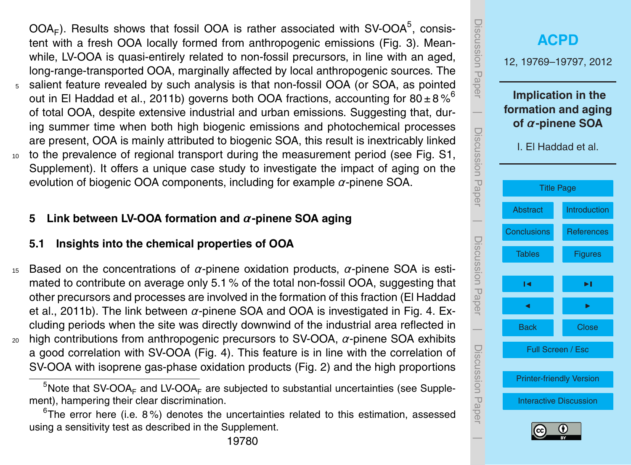$OOA<sub>F</sub>$ ). Results shows that fossil OOA is rather associated with SV-OOA<sup>5</sup>, consistent with a fresh OOA locally formed from anthropogenic emissions (Fig. 3). Meanwhile, LV-OOA is quasi-entirely related to non-fossil precursors, in line with an aged, long-range-transported OOA, marginally affected by local anthropogenic sources. The

- <sup>5</sup> salient feature revealed by such analysis is that non-fossil OOA (or SOA, as pointed out in El Haddad et al., 2011b) governs both OOA fractions, accounting for  $80 \pm 8\%$ <sup>6</sup> of total OOA, despite extensive industrial and urban emissions. Suggesting that, during summer time when both high biogenic emissions and photochemical processes are present, OOA is mainly attributed to biogenic SOA, this result is inextricably linked
- <sup>10</sup> to the prevalence of regional transport during the measurement period (see Fig. S1, Supplement). It offers a unique case study to investigate the impact of aging on the evolution of biogenic OOA components, including for example *α*-pinene SOA.

# **5 Link between LV-OOA formation and** *α***-pinene SOA aging**

## **5.1 Insights into the chemical properties of OOA**

<sup>15</sup> Based on the concentrations of *α*-pinene oxidation products, *α*-pinene SOA is estimated to contribute on average only 5.1 % of the total non-fossil OOA, suggesting that other precursors and processes are involved in the formation of this fraction (El Haddad et al., 2011b). The link between *α*-pinene SOA and OOA is investigated in Fig. 4. Excluding periods when the site was directly downwind of the industrial area reflected in <sup>20</sup> high contributions from anthropogenic precursors to SV-OOA, *α*-pinene SOA exhibits a good correlation with SV-OOA (Fig. 4). This feature is in line with the correlation of SV-OOA with isoprene gas-phase oxidation products (Fig. 2) and the high proportions

<span id="page-11-0"></span> $6$ The error here (i.e. 8%) denotes the uncertainties related to this estimation, assessed using a sensitivity test as described in the Supplement.



 $5$ Note that SV-OOA<sub>F</sub> and LV-OOA<sub>F</sub> are subjected to substantial uncertainties (see Supplement), hampering their clear discrimination.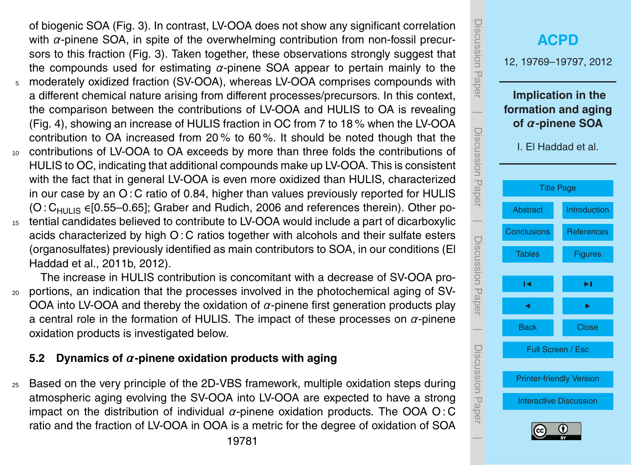of biogenic SOA (Fig. 3). In contrast, LV-OOA does not show any significant correlation with *α*-pinene SOA, in spite of the overwhelming contribution from non-fossil precursors to this fraction (Fig. 3). Taken together, these observations strongly suggest that the compounds used for estimating *α*-pinene SOA appear to pertain mainly to the <sup>5</sup> moderately oxidized fraction (SV-OOA), whereas LV-OOA comprises compounds with a different chemical nature arising from different processes/precursors. In this context, the comparison between the contributions of LV-OOA and HULIS to OA is revealing (Fig. 4), showing an increase of HULIS fraction in OC from 7 to 18 % when the LV-OOA contribution to OA increased from 20 % to 60 %. It should be noted though that the <sup>10</sup> contributions of LV-OOA to OA exceeds by more than three folds the contributions of HULIS to OC, indicating that additional compounds make up LV-OOA. This is consistent with the fact that in general LV-OOA is even more oxidized than HULIS, characterized in our case by an O : C ratio of 0.84, higher than values previously reported for HULIS  $(O:C<sub>HIIIIS</sub> \in [0.55-0.65]$ ; Graber and Rudich, 2006 and references therein). Other po-<sup>15</sup> tential candidates believed to contribute to LV-OOA would include a part of dicarboxylic acids characterized by high O : C ratios together with alcohols and their sulfate esters (organosulfates) previously identified as main contributors to SOA, in our conditions (El

The increase in HULIS contribution is concomitant with a decrease of SV-OOA pro-<sup>20</sup> portions, an indication that the processes involved in the photochemical aging of SV-OOA into LV-OOA and thereby the oxidation of *α*-pinene first generation products play a central role in the formation of HULIS. The impact of these processes on *α*-pinene oxidation products is investigated below.

## **5.2 Dynamics of** *α***-pinene oxidation products with aging**

Haddad et al., 2011b, 2012).

<sup>25</sup> Based on the very principle of the 2D-VBS framework, multiple oxidation steps during atmospheric aging evolving the SV-OOA into LV-OOA are expected to have a strong impact on the distribution of individual *α*-pinene oxidation products. The OOA O : C ratio and the fraction of LV-OOA in OOA is a metric for the degree of oxidation of SOA

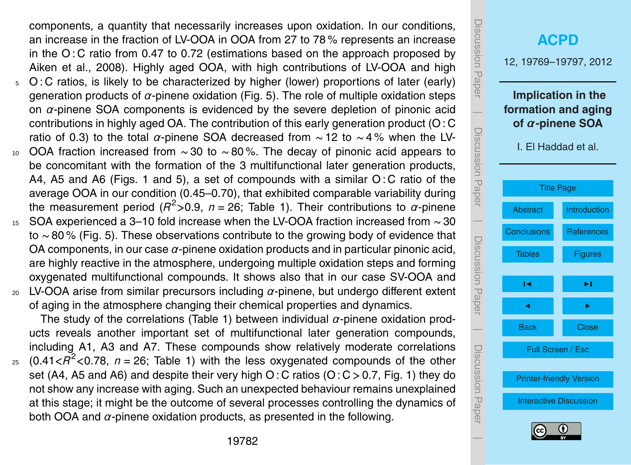components, a quantity that necessarily increases upon oxidation. In our conditions, an increase in the fraction of LV-OOA in OOA from 27 to 78 % represents an increase in the O : C ratio from 0.47 to 0.72 (estimations based on the approach proposed by Aiken et al., 2008). Highly aged OOA, with high contributions of LV-OOA and high  $5$  O: C ratios, is likely to be characterized by higher (lower) proportions of later (early)

- generation products of *α*-pinene oxidation (Fig. 5). The role of multiple oxidation steps on *α*-pinene SOA components is evidenced by the severe depletion of pinonic acid contributions in highly aged OA. The contribution of this early generation product (O : C ratio of 0.3) to the total *α*-pinene SOA decreased from ∼ 12 to ∼ 4 % when the LV-
- $10$  OOA fraction increased from ~ 30 to ~80%. The decay of pinonic acid appears to be concomitant with the formation of the 3 multifunctional later generation products, A4, A5 and A6 (Figs. 1 and 5), a set of compounds with a similar O : C ratio of the average OOA in our condition (0.45–0.70), that exhibited comparable variability during the measurement period (*R* <sup>2</sup>*>*0.9, *n* = 26; Table 1). Their contributions to *α*-pinene
- <sup>15</sup> SOA experienced a 3–10 fold increase when the LV-OOA fraction increased from ∼ 30 to ∼ 80 % (Fig. 5). These observations contribute to the growing body of evidence that OA components, in our case *α*-pinene oxidation products and in particular pinonic acid, are highly reactive in the atmosphere, undergoing multiple oxidation steps and forming oxygenated multifunctional compounds. It shows also that in our case SV-OOA and
- <sup>20</sup> LV-OOA arise from similar precursors including *α*-pinene, but undergo different extent of aging in the atmosphere changing their chemical properties and dynamics.

The study of the correlations (Table 1) between individual *α*-pinene oxidation products reveals another important set of multifunctional later generation compounds, including A1, A3 and A7. These compounds show relatively moderate correlations

 $25$  (0.41 $<$  $R^2$  < 0.78,  $n = 26$ ; Table 1) with the less oxygenated compounds of the other set (A4, A5 and A6) and despite their very high O : C ratios (O : C *>* 0.7, Fig. 1) they do not show any increase with aging. Such an unexpected behaviour remains unexplained at this stage; it might be the outcome of several processes controlling the dynamics of both OOA and *α*-pinene oxidation products, as presented in the following.

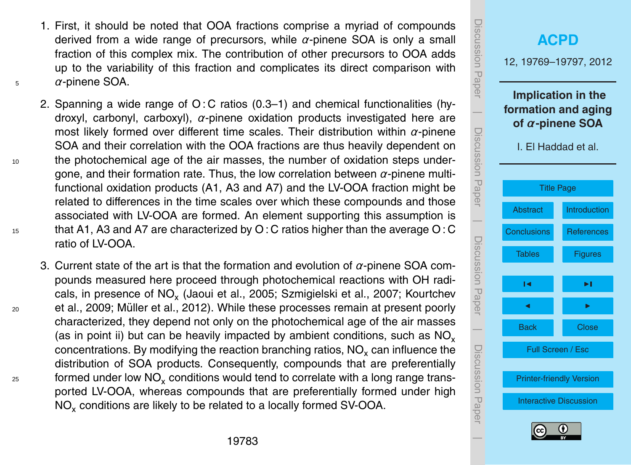- 
- 19783
- characterized, they depend not only on the photochemical age of the air masses (as in point ii) but can be heavily impacted by ambient conditions, such as  $NO<sub>x</sub>$ concentrations. By modifying the reaction branching ratios, NO<sub>x</sub> can influence the distribution of SOA products. Consequently, compounds that are preferentially  $_{\rm z5}$  formed under low NO<sub>x</sub> conditions would tend to correlate with a long range transported LV-OOA, whereas compounds that are preferentially formed under high

NO<sub>x</sub> conditions are likely to be related to a locally formed SV-OOA.

SOA and their correlation with the OOA fractions are thus heavily dependent on <sup>10</sup> the photochemical age of the air masses, the number of oxidation steps undergone, and their formation rate. Thus, the low correlation between *α*-pinene multifunctional oxidation products (A1, A3 and A7) and the LV-OOA fraction might be related to differences in the time scales over which these compounds and those associated with LV-OOA are formed. An element supporting this assumption is <sup>15</sup> that A1, A3 and A7 are characterized by O : C ratios higher than the average O : C

3. Current state of the art is that the formation and evolution of *α*-pinene SOA compounds measured here proceed through photochemical reactions with OH radicals, in presence of  $\mathsf{NO}_\mathsf{x}$  (Jaoui et al., 2005; Szmigielski et al., 2007; Kourtchev

 $20$  et al., 2009; Müller et al., 2012). While these processes remain at present poorly

1. First, it should be noted that OOA fractions comprise a myriad of compounds derived from a wide range of precursors, while *α*-pinene SOA is only a small fraction of this complex mix. The contribution of other precursors to OOA adds up to the variability of this fraction and complicates its direct comparison with

2. Spanning a wide range of  $O: C$  ratios (0.3–1) and chemical functionalities (hydroxyl, carbonyl, carboxyl), *α*-pinene oxidation products investigated here are most likely formed over different time scales. Their distribution within *α*-pinene

<sup>5</sup> *α*-pinene SOA.

ratio of LV-OOA.

**[ACPD](http://www.atmos-chem-phys-discuss.net)** 12, 19769–19797, 2012 **Implication in the formation and aging of** *α***-pinene SOA** I. El Haddad et al. [Title Page](#page-0-0) [Abstract](#page-2-0) [Introduction](#page-3-0) [Conclusions](#page-11-0) [References](#page-16-0) [Tables](#page-22-0) [Figures](#page-23-0)  $\sim$  J  $\sim$ **J** I I I I Back Close Full Screen / Esc [Printer-friendly Version](http://www.atmos-chem-phys-discuss.net/12/19769/2012/acpd-12-19769-2012-print.pdf) [Interactive Discussion](http://www.atmos-chem-phys-discuss.net/12/19769/2012/acpd-12-19769-2012-discussion.html)

Discussion Paper

Discussion Paper

 $\overline{\phantom{a}}$ 

Discussion Paper

Discussion Paper

 $\overline{\phantom{a}}$ 

Discussion Paper

Discussion Paper

 $\overline{\phantom{a}}$ 

Discussion Paper

Discussion Paper

 $\overline{\phantom{a}}$ 

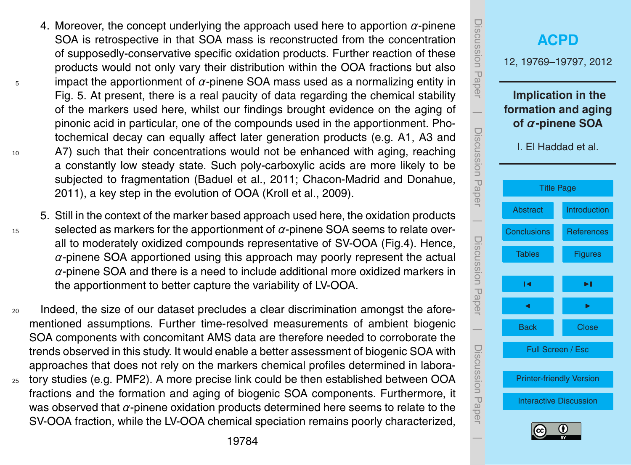- 4. Moreover, the concept underlying the approach used here to apportion  $\alpha$ -pinene SOA is retrospective in that SOA mass is reconstructed from the concentration of supposedly-conservative specific oxidation products. Further reaction of these products would not only vary their distribution within the OOA fractions but also <sup>5</sup> impact the apportionment of *α*-pinene SOA mass used as a normalizing entity in Fig. 5. At present, there is a real paucity of data regarding the chemical stability of the markers used here, whilst our findings brought evidence on the aging of pinonic acid in particular, one of the compounds used in the apportionment. Photochemical decay can equally affect later generation products (e.g. A1, A3 and <sup>10</sup> A7) such that their concentrations would not be enhanced with aging, reaching a constantly low steady state. Such poly-carboxylic acids are more likely to be subjected to fragmentation (Baduel et al., 2011; Chacon-Madrid and Donahue, 2011), a key step in the evolution of OOA (Kroll et al., 2009).
- 5. Still in the context of the marker based approach used here, the oxidation products  $15$  selected as markers for the apportionment of  $\alpha$ -pinene SOA seems to relate overall to moderately oxidized compounds representative of SV-OOA (Fig.4). Hence, *α*-pinene SOA apportioned using this approach may poorly represent the actual *α*-pinene SOA and there is a need to include additional more oxidized markers in the apportionment to better capture the variability of LV-OOA.
- <sup>20</sup> Indeed, the size of our dataset precludes a clear discrimination amongst the aforementioned assumptions. Further time-resolved measurements of ambient biogenic SOA components with concomitant AMS data are therefore needed to corroborate the trends observed in this study. It would enable a better assessment of biogenic SOA with approaches that does not rely on the markers chemical profiles determined in labora-<sup>25</sup> tory studies (e.g. PMF2). A more precise link could be then established between OOA
- fractions and the formation and aging of biogenic SOA components. Furthermore, it was observed that *α*-pinene oxidation products determined here seems to relate to the SV-OOA fraction, while the LV-OOA chemical speciation remains poorly characterized,

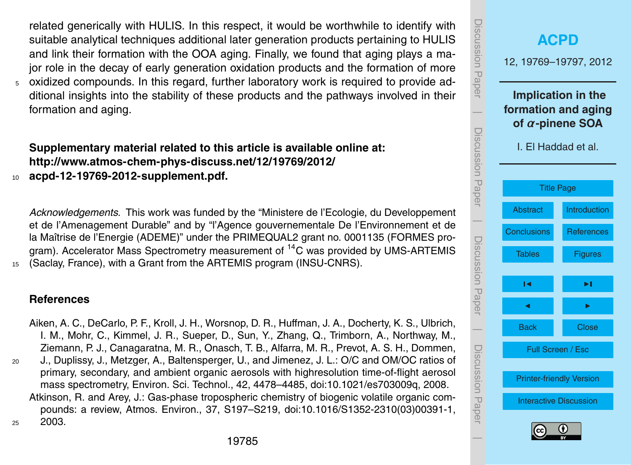<span id="page-16-0"></span>related generically with HULIS. In this respect, it would be worthwhile to identify with suitable analytical techniques additional later generation products pertaining to HULIS and link their formation with the OOA aging. Finally, we found that aging plays a major role in the decay of early generation oxidation products and the formation of more <sup>5</sup> oxidized compounds. In this regard, further laboratory work is required to provide additional insights into the stability of these products and the pathways involved in their formation and aging.

# **Supplementary material related to this article is available online at: [http://www.atmos-chem-phys-discuss.net/12/19769/2012/](http://www.atmos-chem-phys-discuss.net/12/19769/2012/acpd-12-19769-2012-supplement.pdf)**

<sup>10</sup> **[acpd-12-19769-2012-supplement.pdf.](http://www.atmos-chem-phys-discuss.net/12/19769/2012/acpd-12-19769-2012-supplement.pdf)**

*Acknowledgements.* This work was funded by the "Ministere de l'Ecologie, du Developpement et de l'Amenagement Durable" and by "l'Agence gouvernementale De l'Environnement et de la Maîtrise de l'Energie (ADEME)" under the PRIMEQUAL2 grant no. 0001135 (FORMES program). Accelerator Mass Spectrometry measurement of  ${}^{14}$ C was provided by UMS-ARTEMIS <sup>15</sup> (Saclay, France), with a Grant from the ARTEMIS program (INSU-CNRS).

#### **References**

Aiken, A. C., DeCarlo, P. F., Kroll, J. H., Worsnop, D. R., Huffman, J. A., Docherty, K. S., Ulbrich, I. M., Mohr, C., Kimmel, J. R., Sueper, D., Sun, Y., Zhang, Q., Trimborn, A., Northway, M., Ziemann, P. J., Canagaratna, M. R., Onasch, T. B., Alfarra, M. R., Prevot, A. S. H., Dommen, <sup>20</sup> J., Duplissy, J., Metzger, A., Baltensperger, U., and Jimenez, J. L.: O/C and OM/OC ratios of primary, secondary, and ambient organic aerosols with highresolution time-of-flight aerosol mass spectrometry, Environ. Sci. Technol., 42, 4478–4485, [doi:10.1021/es703009q,](http://dx.doi.org/10.1021/es703009q) 2008. Atkinson, R. and Arey, J.: Gas-phase tropospheric chemistry of biogenic volatile organic compounds: a review, Atmos. Environ., 37, S197–S219, [doi:10.1016/S1352-2310\(03\)00391-1,](http://dx.doi.org/10.1016/S1352-2310(03)00391-1) <sup>25</sup> 2003.

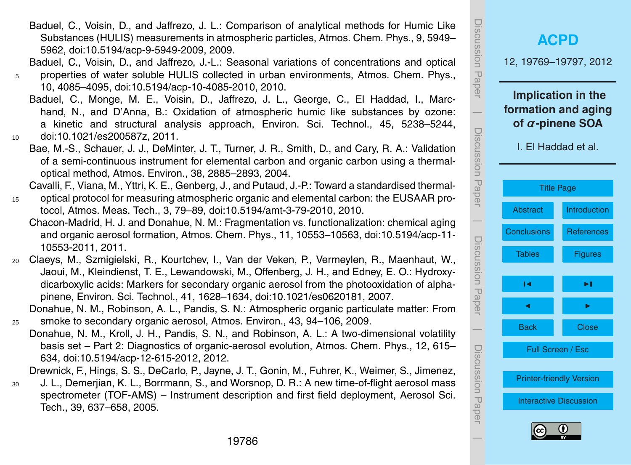Baduel, C., Voisin, D., and Jaffrezo, J. L.: Comparison of analytical methods for Humic Like Substances (HULIS) measurements in atmospheric particles, Atmos. Chem. Phys., 9, 5949– 5962, [doi:10.5194/acp-9-5949-2009,](http://dx.doi.org/10.5194/acp-9-5949-2009) 2009.

Baduel, C., Voisin, D., and Jaffrezo, J.-L.: Seasonal variations of concentrations and optical

- <sup>5</sup> properties of water soluble HULIS collected in urban environments, Atmos. Chem. Phys., 10, 4085–4095, [doi:10.5194/acp-10-4085-2010,](http://dx.doi.org/10.5194/acp-10-4085-2010) 2010.
- Baduel, C., Monge, M. E., Voisin, D., Jaffrezo, J. L., George, C., El Haddad, I., Marchand, N., and D'Anna, B.: Oxidation of atmospheric humic like substances by ozone: a kinetic and structural analysis approach, Environ. Sci. Technol., 45, 5238–5244, <sup>10</sup> [doi:10.1021/es200587z,](http://dx.doi.org/10.1021/es200587z) 2011.

Bae, M.-S., Schauer, J. J., DeMinter, J. T., Turner, J. R., Smith, D., and Cary, R. A.: Validation

of a semi-continuous instrument for elemental carbon and organic carbon using a thermaloptical method, Atmos. Environ., 38, 2885–2893, 2004.

Cavalli, F., Viana, M., Yttri, K. E., Genberg, J., and Putaud, J.-P.: Toward a standardised thermal-

- <sup>15</sup> optical protocol for measuring atmospheric organic and elemental carbon: the EUSAAR protocol, Atmos. Meas. Tech., 3, 79–89, [doi:10.5194/amt-3-79-2010,](http://dx.doi.org/10.5194/amt-3-79-2010) 2010.
	- Chacon-Madrid, H. J. and Donahue, N. M.: Fragmentation vs. functionalization: chemical aging and organic aerosol formation, Atmos. Chem. Phys., 11, 10553–10563, [doi:10.5194/acp-11-](http://dx.doi.org/10.5194/acp-11-10553-2011) [10553-2011,](http://dx.doi.org/10.5194/acp-11-10553-2011) 2011.
- <sup>20</sup> Claeys, M., Szmigielski, R., Kourtchev, I., Van der Veken, P., Vermeylen, R., Maenhaut, W., Jaoui, M., Kleindienst, T. E., Lewandowski, M., Offenberg, J. H., and Edney, E. O.: Hydroxydicarboxylic acids: Markers for secondary organic aerosol from the photooxidation of alphapinene, Environ. Sci. Technol., 41, 1628–1634, [doi:10.1021/es0620181,](http://dx.doi.org/10.1021/es0620181) 2007.
- Donahue, N. M., Robinson, A. L., Pandis, S. N.: Atmospheric organic particulate matter: From <sup>25</sup> smoke to secondary organic aerosol, Atmos. Environ., 43, 94–106, 2009.
	- Donahue, N. M., Kroll, J. H., Pandis, S. N., and Robinson, A. L.: A two-dimensional volatility basis set – Part 2: Diagnostics of organic-aerosol evolution, Atmos. Chem. Phys., 12, 615– 634, [doi:10.5194/acp-12-615-2012,](http://dx.doi.org/10.5194/acp-12-615-2012) 2012.

Drewnick, F., Hings, S. S., DeCarlo, P., Jayne, J. T., Gonin, M., Fuhrer, K., Weimer, S., Jimenez,

<sup>30</sup> J. L., Demerjian, K. L., Borrmann, S., and Worsnop, D. R.: A new time-of-flight aerosol mass spectrometer (TOF-AMS) – Instrument description and first field deployment, Aerosol Sci. Tech., 39, 637–658, 2005.

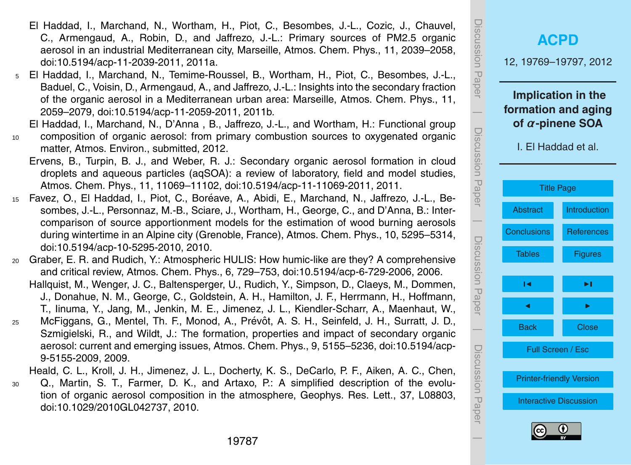- El Haddad, I., Marchand, N., Wortham, H., Piot, C., Besombes, J.-L., Cozic, J., Chauvel, C., Armengaud, A., Robin, D., and Jaffrezo, J.-L.: Primary sources of PM2.5 organic aerosol in an industrial Mediterranean city, Marseille, Atmos. Chem. Phys., 11, 2039–2058, [doi:10.5194/acp-11-2039-2011,](http://dx.doi.org/10.5194/acp-11-2039-2011) 2011a.
- <sup>5</sup> El Haddad, I., Marchand, N., Temime-Roussel, B., Wortham, H., Piot, C., Besombes, J.-L., Baduel, C., Voisin, D., Armengaud, A., and Jaffrezo, J.-L.: Insights into the secondary fraction of the organic aerosol in a Mediterranean urban area: Marseille, Atmos. Chem. Phys., 11, 2059–2079, [doi:10.5194/acp-11-2059-2011,](http://dx.doi.org/10.5194/acp-11-2059-2011) 2011b.
	- El Haddad, I., Marchand, N., D'Anna , B., Jaffrezo, J.-L., and Wortham, H.: Functional group
- <sup>10</sup> composition of organic aerosol: from primary combustion sources to oxygenated organic matter, Atmos. Environ., submitted, 2012.
	- Ervens, B., Turpin, B. J., and Weber, R. J.: Secondary organic aerosol formation in cloud droplets and aqueous particles (aqSOA): a review of laboratory, field and model studies, Atmos. Chem. Phys., 11, 11069–11102, [doi:10.5194/acp-11-11069-2011,](http://dx.doi.org/10.5194/acp-11-11069-2011) 2011.
- 15 Favez, O., El Haddad, I., Piot, C., Boréave, A., Abidi, E., Marchand, N., Jaffrezo, J.-L., Besombes, J.-L., Personnaz, M.-B., Sciare, J., Wortham, H., George, C., and D'Anna, B.: Intercomparison of source apportionment models for the estimation of wood burning aerosols during wintertime in an Alpine city (Grenoble, France), Atmos. Chem. Phys., 10, 5295–5314, [doi:10.5194/acp-10-5295-2010,](http://dx.doi.org/10.5194/acp-10-5295-2010) 2010.
- <sup>20</sup> Graber, E. R. and Rudich, Y.: Atmospheric HULIS: How humic-like are they? A comprehensive and critical review, Atmos. Chem. Phys., 6, 729–753, [doi:10.5194/acp-6-729-2006,](http://dx.doi.org/10.5194/acp-6-729-2006) 2006. Hallquist, M., Wenger, J. C., Baltensperger, U., Rudich, Y., Simpson, D., Claeys, M., Dommen, J., Donahue, N. M., George, C., Goldstein, A. H., Hamilton, J. F., Herrmann, H., Hoffmann, T., Iinuma, Y., Jang, M., Jenkin, M. E., Jimenez, J. L., Kiendler-Scharr, A., Maenhaut, W.,
- 25 McFiggans, G., Mentel, Th. F., Monod, A., Prévôt, A. S. H., Seinfeld, J. H., Surratt, J. D., Szmigielski, R., and Wildt, J.: The formation, properties and impact of secondary organic aerosol: current and emerging issues, Atmos. Chem. Phys., 9, 5155–5236, [doi:10.5194/acp-](http://dx.doi.org/10.5194/acp-9-5155-2009)[9-5155-2009,](http://dx.doi.org/10.5194/acp-9-5155-2009) 2009.

Heald, C. L., Kroll, J. H., Jimenez, J. L., Docherty, K. S., DeCarlo, P. F., Aiken, A. C., Chen,

<sup>30</sup> Q., Martin, S. T., Farmer, D. K., and Artaxo, P.: A simplified description of the evolution of organic aerosol composition in the atmosphere, Geophys. Res. Lett., 37, L08803, [doi:10.1029/2010GL042737,](http://dx.doi.org/10.1029/2010GL042737) 2010.

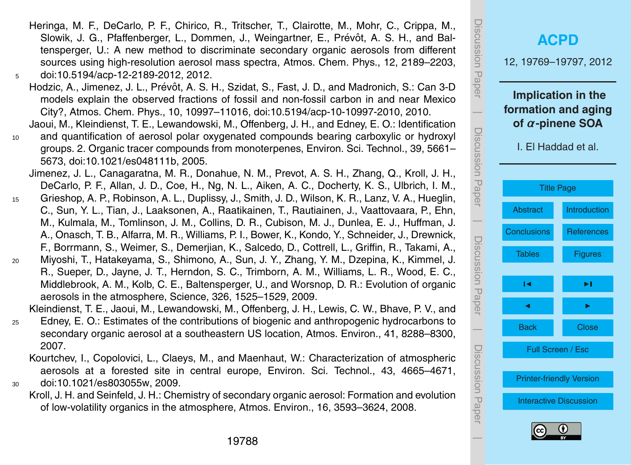- Heringa, M. F., DeCarlo, P. F., Chirico, R., Tritscher, T., Clairotte, M., Mohr, C., Crippa, M., Slowik, J. G., Pfaffenberger, L., Dommen, J., Weingartner, E., Prévôt, A. S. H., and Baltensperger, U.: A new method to discriminate secondary organic aerosols from different sources using high-resolution aerosol mass spectra, Atmos. Chem. Phys., 12, 2189–2203, <sup>5</sup> [doi:10.5194/acp-12-2189-2012,](http://dx.doi.org/10.5194/acp-12-2189-2012) 2012.
- Hodzic, A., Jimenez, J. L., Prévôt, A. S. H., Szidat, S., Fast, J. D., and Madronich, S.; Can 3-D models explain the observed fractions of fossil and non-fossil carbon in and near Mexico City?, Atmos. Chem. Phys., 10, 10997–11016, [doi:10.5194/acp-10-10997-2010,](http://dx.doi.org/10.5194/acp-10-10997-2010) 2010.
- Jaoui, M., Kleindienst, T. E., Lewandowski, M., Offenberg, J. H., and Edney, E. O.: Identification <sup>10</sup> and quantification of aerosol polar oxygenated compounds bearing carboxylic or hydroxyl
	- groups. 2. Organic tracer compounds from monoterpenes, Environ. Sci. Technol., 39, 5661– 5673, [doi:10.1021/es048111b,](http://dx.doi.org/10.1021/es048111b) 2005.
	- Jimenez, J. L., Canagaratna, M. R., Donahue, N. M., Prevot, A. S. H., Zhang, Q., Kroll, J. H., DeCarlo, P. F., Allan, J. D., Coe, H., Ng, N. L., Aiken, A. C., Docherty, K. S., Ulbrich, I. M.,
- <sup>15</sup> Grieshop, A. P., Robinson, A. L., Duplissy, J., Smith, J. D., Wilson, K. R., Lanz, V. A., Hueglin, C., Sun, Y. L., Tian, J., Laaksonen, A., Raatikainen, T., Rautiainen, J., Vaattovaara, P., Ehn, M., Kulmala, M., Tomlinson, J. M., Collins, D. R., Cubison, M. J., Dunlea, E. J., Huffman, J. A., Onasch, T. B., Alfarra, M. R., Williams, P. I., Bower, K., Kondo, Y., Schneider, J., Drewnick, F., Borrmann, S., Weimer, S., Demerjian, K., Salcedo, D., Cottrell, L., Griffin, R., Takami, A.,
- <sup>20</sup> Miyoshi, T., Hatakeyama, S., Shimono, A., Sun, J. Y., Zhang, Y. M., Dzepina, K., Kimmel, J. R., Sueper, D., Jayne, J. T., Herndon, S. C., Trimborn, A. M., Williams, L. R., Wood, E. C., Middlebrook, A. M., Kolb, C. E., Baltensperger, U., and Worsnop, D. R.: Evolution of organic aerosols in the atmosphere, Science, 326, 1525–1529, 2009.

Kleindienst, T. E., Jaoui, M., Lewandowski, M., Offenberg, J. H., Lewis, C. W., Bhave, P. V., and

- <sup>25</sup> Edney, E. O.: Estimates of the contributions of biogenic and anthropogenic hydrocarbons to secondary organic aerosol at a southeastern US location, Atmos. Environ., 41, 8288–8300, 2007.
- Kourtchev, I., Copolovici, L., Claeys, M., and Maenhaut, W.: Characterization of atmospheric aerosols at a forested site in central europe, Environ. Sci. Technol., 43, 4665–4671, <sup>30</sup> [doi:10.1021/es803055w,](http://dx.doi.org/10.1021/es803055w) 2009.
	- Kroll, J. H. and Seinfeld, J. H.: Chemistry of secondary organic aerosol: Formation and evolution of low-volatility organics in the atmosphere, Atmos. Environ., 16, 3593–3624, 2008.

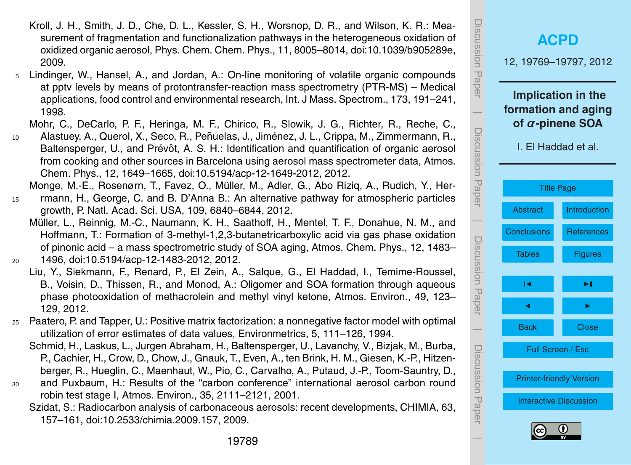- Kroll, J. H., Smith, J. D., Che, D. L., Kessler, S. H., Worsnop, D. R., and Wilson, K. R.: Measurement of fragmentation and functionalization pathways in the heterogeneous oxidation of oxidized organic aerosol, Phys. Chem. Chem. Phys., 11, 8005–8014, [doi:10.1039/b905289e,](http://dx.doi.org/10.1039/b905289e) 2009.
- <sup>5</sup> Lindinger, W., Hansel, A., and Jordan, A.: On-line monitoring of volatile organic compounds at pptv levels by means of protontransfer-reaction mass spectrometry (PTR-MS) – Medical applications, food control and environmental research, Int. J Mass. Spectrom., 173, 191–241, 1998.

Mohr, C., DeCarlo, P. F., Heringa, M. F., Chirico, R., Slowik, J. G., Richter, R., Reche, C.,

10 Alastuey, A., Querol, X., Seco, R., Peñuelas, J., Jiménez, J. L., Crippa, M., Zimmermann, R., Baltensperger, U., and Prévôt, A. S. H.: Identification and quantification of organic aerosol from cooking and other sources in Barcelona using aerosol mass spectrometer data, Atmos. Chem. Phys., 12, 1649–1665, [doi:10.5194/acp-12-1649-2012,](http://dx.doi.org/10.5194/acp-12-1649-2012) 2012.

Monge, M.-E., Rosenørn, T., Favez, O., Muller, M., Adler, G., Abo Riziq, A., Rudich, Y., Her- ¨

- <sup>15</sup> rmann, H., George, C. and B. D'Anna B.: An alternative pathway for atmospheric particles growth, P. Natl. Acad. Sci. USA, 109, 6840–6844, 2012.
- Müller, L., Reinnig, M.-C., Naumann, K. H., Saathoff, H., Mentel, T. F., Donahue, N. M., and Hoffmann, T.: Formation of 3-methyl-1,2,3-butanetricarboxylic acid via gas phase oxidation of pinonic acid – a mass spectrometric study of SOA aging, Atmos. Chem. Phys., 12, 1483– <sup>20</sup> 1496, [doi:10.5194/acp-12-1483-2012,](http://dx.doi.org/10.5194/acp-12-1483-2012) 2012.

Liu, Y., Siekmann, F., Renard, P., El Zein, A., Salque, G., El Haddad, I., Temime-Roussel, B., Voisin, D., Thissen, R., and Monod, A.: Oligomer and SOA formation through aqueous

- phase photooxidation of methacrolein and methyl vinyl ketone, Atmos. Environ., 49, 123– 129, 2012.
- <sup>25</sup> Paatero, P. and Tapper, U.: Positive matrix factorization: a nonnegative factor model with optimal utilization of error estimates of data values, Environmetrics, 5, 111–126, 1994.
	- Schmid, H., Laskus, L., Jurgen Abraham, H., Baltensperger, U., Lavanchy, V., Bizjak, M., Burba, P., Cachier, H., Crow, D., Chow, J., Gnauk, T., Even, A., ten Brink, H. M., Giesen, K.-P., Hitzenberger, R., Hueglin, C., Maenhaut, W., Pio, C., Carvalho, A., Putaud, J.-P., Toom-Sauntry, D.,
- <sup>30</sup> and Puxbaum, H.: Results of the "carbon conference" international aerosol carbon round robin test stage I, Atmos. Environ., 35, 2111–2121, 2001.
	- Szidat, S.: Radiocarbon analysis of carbonaceous aerosols: recent developments, CHIMIA, 63, 157–161, [doi:10.2533/chimia.2009.157,](http://dx.doi.org/10.2533/chimia.2009.157) 2009.



 $\overline{\phantom{a}}$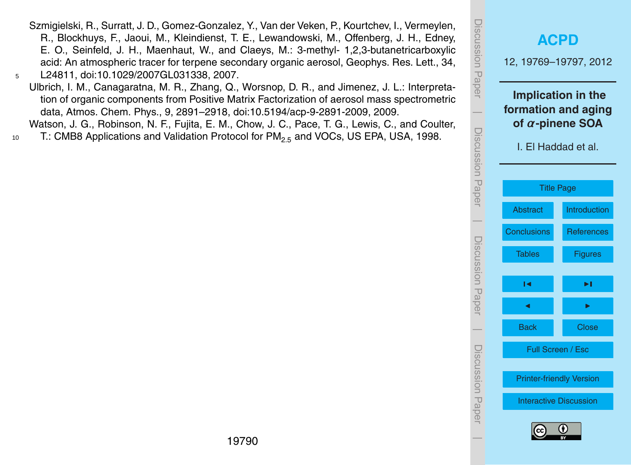- Szmigielski, R., Surratt, J. D., Gomez-Gonzalez, Y., Van der Veken, P., Kourtchev, I., Vermeylen, R., Blockhuys, F., Jaoui, M., Kleindienst, T. E., Lewandowski, M., Offenberg, J. H., Edney, E. O., Seinfeld, J. H., Maenhaut, W., and Claeys, M.: 3-methyl- 1,2,3-butanetricarboxylic acid: An atmospheric tracer for terpene secondary organic aerosol, Geophys. Res. Lett., 34, <sup>5</sup> L24811, [doi:10.1029/2007GL031338,](http://dx.doi.org/10.1029/2007GL031338) 2007.
- Ulbrich, I. M., Canagaratna, M. R., Zhang, Q., Worsnop, D. R., and Jimenez, J. L.: Interpretation of organic components from Positive Matrix Factorization of aerosol mass spectrometric data, Atmos. Chem. Phys., 9, 2891–2918, [doi:10.5194/acp-9-2891-2009,](http://dx.doi.org/10.5194/acp-9-2891-2009) 2009. Watson, J. G., Robinson, N. F., Fujita, E. M., Chow, J. C., Pace, T. G., Lewis, C., and Coulter,
- 10 T.: CMB8 Applications and Validation Protocol for  $PM_{2.5}$  and VOCs, US EPA, USA, 1998.

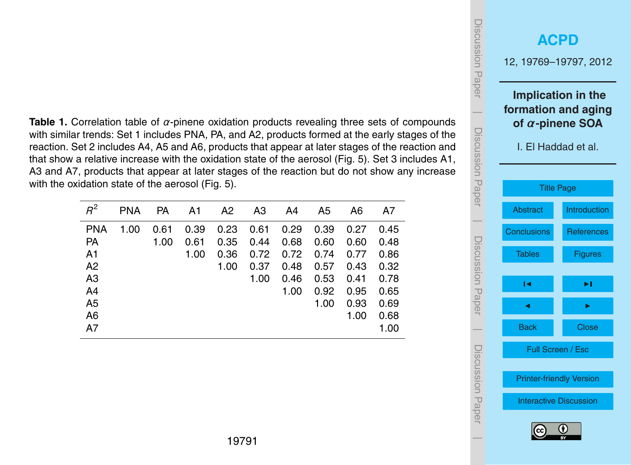<span id="page-22-0"></span>**Table 1.** Correlation table of *α*-pinene oxidation products revealing three sets of compounds with similar trends: Set 1 includes PNA, PA, and A2, products formed at the early stages of the reaction. Set 2 includes A4, A5 and A6, products that appear at later stages of the reaction and that show a relative increase with the oxidation state of the aerosol (Fig. 5). Set 3 includes A1, A3 and A7, products that appear at later stages of the reaction but do not show any increase with the oxidation state of the aerosol (Fig. 5).

| $R^2$      | <b>PNA</b> | PA   | A1   | A2   | A3   | A4   | A5   | A6   | A7   |
|------------|------------|------|------|------|------|------|------|------|------|
| <b>PNA</b> | 1.00       | 0.61 | 0.39 | 0.23 | 0.61 | 0.29 | 0.39 | 0.27 | 0.45 |
| <b>PA</b>  |            | 1.00 | 0.61 | 0.35 | 0.44 | 0.68 | 0.60 | 0.60 | 0.48 |
| A1         |            |      | 1.00 | 0.36 | 0.72 | 0.72 | 0.74 | 0.77 | 0.86 |
| A2         |            |      |      | 1.00 | 0.37 | 0.48 | 0.57 | 0.43 | 0.32 |
| A3         |            |      |      |      | 1.00 | 0.46 | 0.53 | 0.41 | 0.78 |
| A4         |            |      |      |      |      | 1.00 | 0.92 | 0.95 | 0.65 |
| A5         |            |      |      |      |      |      | 1.00 | 0.93 | 0.69 |
| A6         |            |      |      |      |      |      |      | 1.00 | 0.68 |
| A7         |            |      |      |      |      |      |      |      | 1.00 |

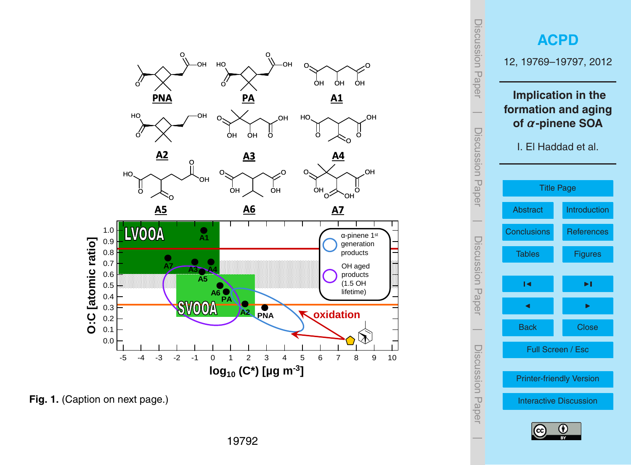<span id="page-23-0"></span>

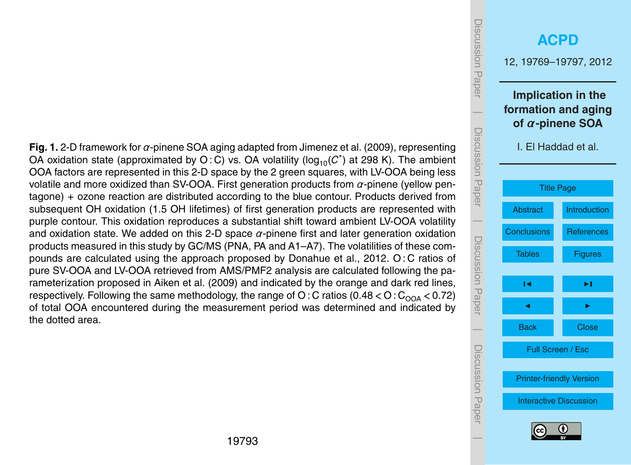**Fig. 1.** 2-D framework for *α*-pinene SOA aging adapted from Jimenez et al. (2009), representing OA oxidation state (approximated by O: C) vs. OA volatility (log<sub>10</sub>(C<sup>\*</sup>) at 298 K). The ambient OOA factors are represented in this 2-D space by the 2 green squares, with LV-OOA being less volatile and more oxidized than SV-OOA. First generation products from *α*-pinene (yellow pentagone) + ozone reaction are distributed according to the blue contour. Products derived from subsequent OH oxidation (1.5 OH lifetimes) of first generation products are represented with purple contour. This oxidation reproduces a substantial shift toward ambient LV-OOA volatility and oxidation state. We added on this 2-D space *α*-pinene first and later generation oxidation products measured in this study by GC/MS (PNA, PA and A1–A7). The volatilities of these compounds are calculated using the approach proposed by Donahue et al., 2012. O : C ratios of pure SV-OOA and LV-OOA retrieved from AMS/PMF2 analysis are calculated following the parameterization proposed in Aiken et al. (2009) and indicated by the orange and dark red lines, respectively. Following the same methodology, the range of O: C ratios  $(0.48 < O : C<sub>O0A</sub> < 0.72)$ of total OOA encountered during the measurement period was determined and indicated by the dotted area.

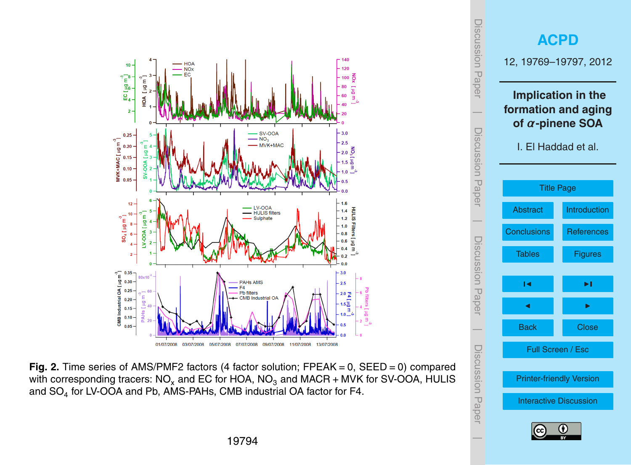



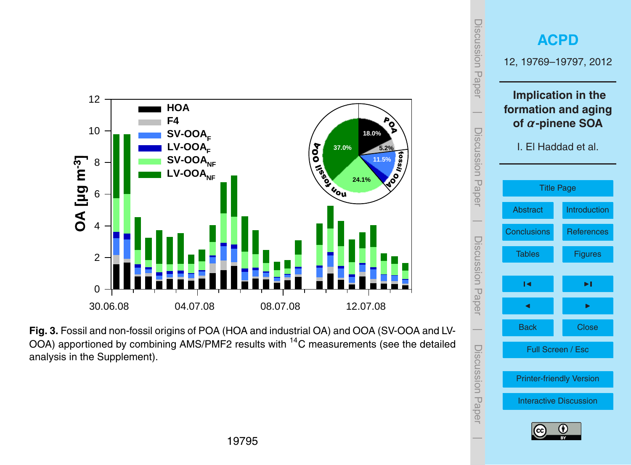

**Fig. 3.** Fossil and non-fossil origins of POA (HOA and industrial OA) and OOA (SV-OOA and LV-OOA) apportioned by combining AMS/PMF2 results with  ${}^{14}$ C measurements (see the detailed analysis in the Supplement).

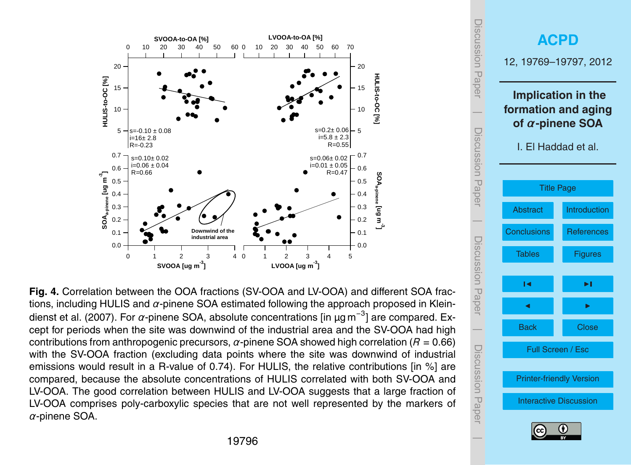

 $5685$  including Hullis and  $568$  following  $(51600 \text{ and } 116000 \text{)}$  and  $64$ Fig. 4. Correlation between the OOA fractions (SV-OOA and LV-OOA) and different SOA fractions, including HULIS and *α*-pinene SOA estimated following the approach proposed in Kleindienst et al. (2007). For *α*-pinene SOA, absolute concentrations [in µg m<sup>-3</sup>] are compared. Ex- $\frac{1}{2}$  correction to the site was downwide concerniations  $\frac{1}{2}$  in Agnitude components in a R value of  $\frac{1}{2}$ cept for periods when the site was downwind of the industrial area and the SV-OOA had high contributions from anthropogenic precursors, *α*-pinene SOA showed high correlation (*R* = 0.66) with the SV-OOA fraction (excluding data points where the site was downwind of industrial emissions would result in a R-value of 0.74). For HULIS, the relative contributions [in %] are compared, because the absolute concentrations of HULIS correlated with both SV-OOA and LV-OOA. The good correlation between HULIS and LV-OOA suggests that a large fraction of LV-OOA comprises poly-carboxylic species that are not well represented by the markers of *α*-pinene SOA.